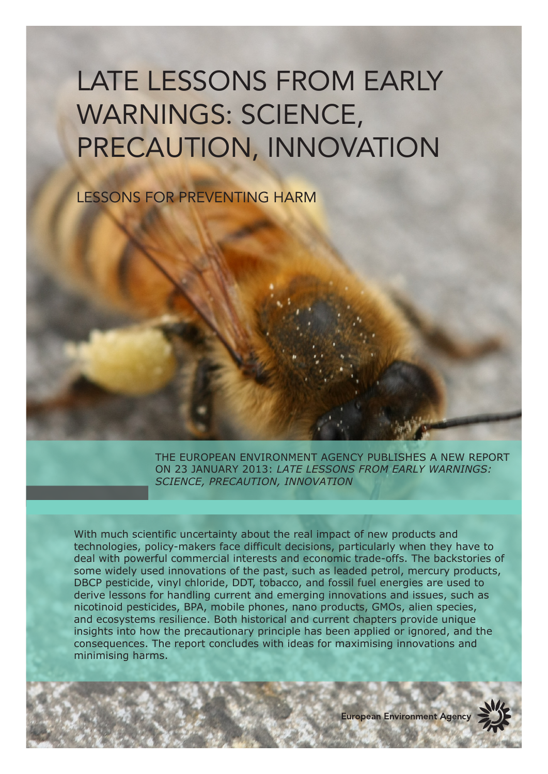# LATE LESSONS FROM EARLY WARNINGS: SCIENCE, PRECAUTION, INNOVATION

LESSONS FOR PREVENTING HARM

THE EUROPEAN ENVIRONMENT AGENCY PUBLISHES A NEW REPORT ON 23 JANUARY 2013: *LATE LESSONS FROM EARLY WARNINGS: SCIENCE, PRECAUTION, INNOVATION*

With much scientific uncertainty about the real impact of new products and technologies, policy-makers face difficult decisions, particularly when they have to deal with powerful commercial interests and economic trade-offs. The backstories of some widely used innovations of the past, such as leaded petrol, mercury products, DBCP pesticide, vinyl chloride, DDT, tobacco, and fossil fuel energies are used to derive lessons for handling current and emerging innovations and issues, such as nicotinoid pesticides, BPA, mobile phones, nano products, GMOs, alien species, and ecosystems resilience. Both historical and current chapters provide unique insights into how the precautionary principle has been applied or ignored, and the consequences. The report concludes with ideas for maximising innovations and minimising harms.